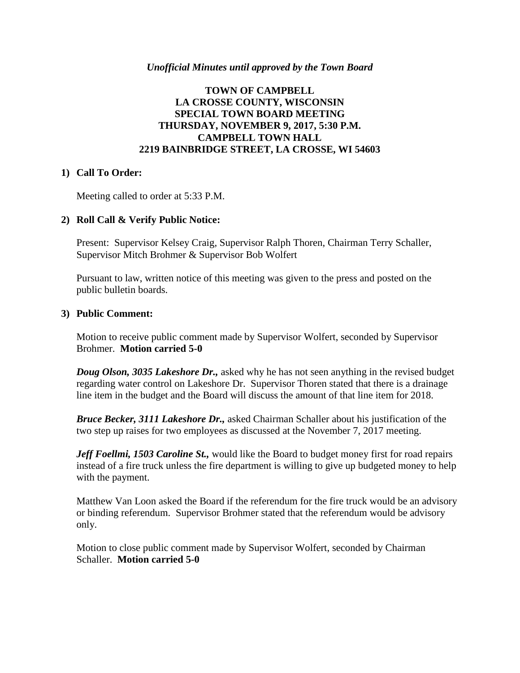#### *Unofficial Minutes until approved by the Town Board*

## **TOWN OF CAMPBELL LA CROSSE COUNTY, WISCONSIN SPECIAL TOWN BOARD MEETING THURSDAY, NOVEMBER 9, 2017, 5:30 P.M. CAMPBELL TOWN HALL 2219 BAINBRIDGE STREET, LA CROSSE, WI 54603**

## **1) Call To Order:**

Meeting called to order at 5:33 P.M.

## **2) Roll Call & Verify Public Notice:**

Present: Supervisor Kelsey Craig, Supervisor Ralph Thoren, Chairman Terry Schaller, Supervisor Mitch Brohmer & Supervisor Bob Wolfert

Pursuant to law, written notice of this meeting was given to the press and posted on the public bulletin boards.

#### **3) Public Comment:**

Motion to receive public comment made by Supervisor Wolfert, seconded by Supervisor Brohmer. **Motion carried 5-0**

*Doug Olson, 3035 Lakeshore Dr.,* asked why he has not seen anything in the revised budget regarding water control on Lakeshore Dr. Supervisor Thoren stated that there is a drainage line item in the budget and the Board will discuss the amount of that line item for 2018.

*Bruce Becker, 3111 Lakeshore Dr.,* asked Chairman Schaller about his justification of the two step up raises for two employees as discussed at the November 7, 2017 meeting.

*Jeff Foellmi, 1503 Caroline St., would like the Board to budget money first for road repairs* instead of a fire truck unless the fire department is willing to give up budgeted money to help with the payment.

Matthew Van Loon asked the Board if the referendum for the fire truck would be an advisory or binding referendum. Supervisor Brohmer stated that the referendum would be advisory only.

Motion to close public comment made by Supervisor Wolfert, seconded by Chairman Schaller. **Motion carried 5-0**